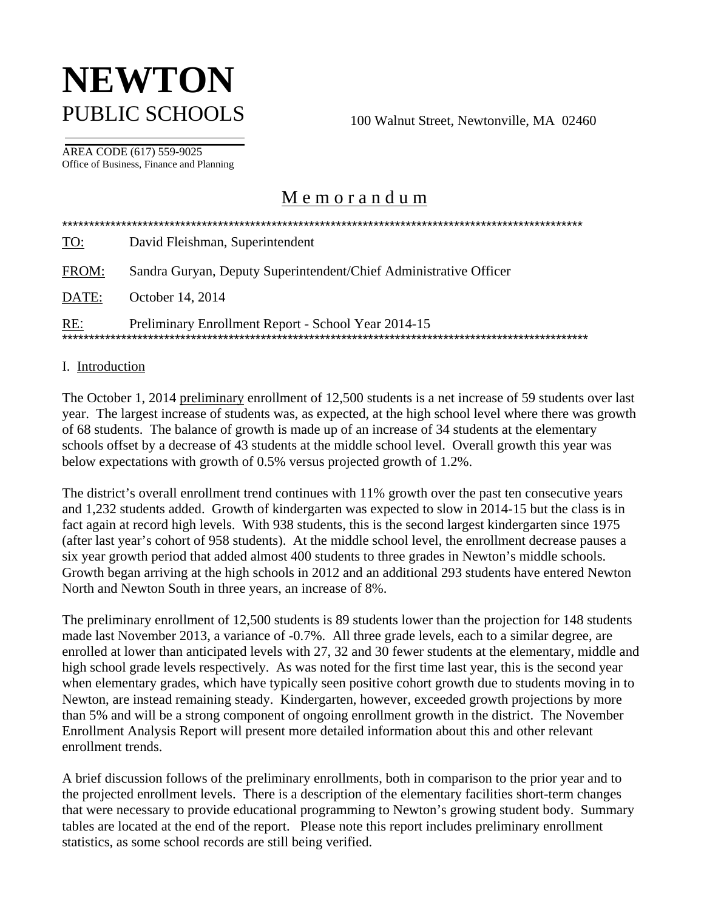# **NEWTON** PUBLIC SCHOOLS 100 Walnut Street, Newtonville, MA 02460

AREA CODE (617) 559-9025 Office of Business, Finance and Planning

# M e m o r a n d u m

| <u>TO:</u> | David Fleishman, Superintendent                                   |
|------------|-------------------------------------------------------------------|
| FROM:      | Sandra Guryan, Deputy Superintendent/Chief Administrative Officer |
| DATE:      | October 14, 2014                                                  |
| <u>RE:</u> | Preliminary Enrollment Report - School Year 2014-15               |

#### I. Introduction

The October 1, 2014 preliminary enrollment of 12,500 students is a net increase of 59 students over last year. The largest increase of students was, as expected, at the high school level where there was growth of 68 students. The balance of growth is made up of an increase of 34 students at the elementary schools offset by a decrease of 43 students at the middle school level. Overall growth this year was below expectations with growth of 0.5% versus projected growth of 1.2%.

The district's overall enrollment trend continues with 11% growth over the past ten consecutive years and 1,232 students added. Growth of kindergarten was expected to slow in 2014-15 but the class is in fact again at record high levels. With 938 students, this is the second largest kindergarten since 1975 (after last year's cohort of 958 students). At the middle school level, the enrollment decrease pauses a six year growth period that added almost 400 students to three grades in Newton's middle schools. Growth began arriving at the high schools in 2012 and an additional 293 students have entered Newton North and Newton South in three years, an increase of 8%.

The preliminary enrollment of 12,500 students is 89 students lower than the projection for 148 students made last November 2013, a variance of -0.7%. All three grade levels, each to a similar degree, are enrolled at lower than anticipated levels with 27, 32 and 30 fewer students at the elementary, middle and high school grade levels respectively. As was noted for the first time last year, this is the second year when elementary grades, which have typically seen positive cohort growth due to students moving in to Newton, are instead remaining steady. Kindergarten, however, exceeded growth projections by more than 5% and will be a strong component of ongoing enrollment growth in the district. The November Enrollment Analysis Report will present more detailed information about this and other relevant enrollment trends.

A brief discussion follows of the preliminary enrollments, both in comparison to the prior year and to the projected enrollment levels. There is a description of the elementary facilities short-term changes that were necessary to provide educational programming to Newton's growing student body. Summary tables are located at the end of the report. Please note this report includes preliminary enrollment statistics, as some school records are still being verified.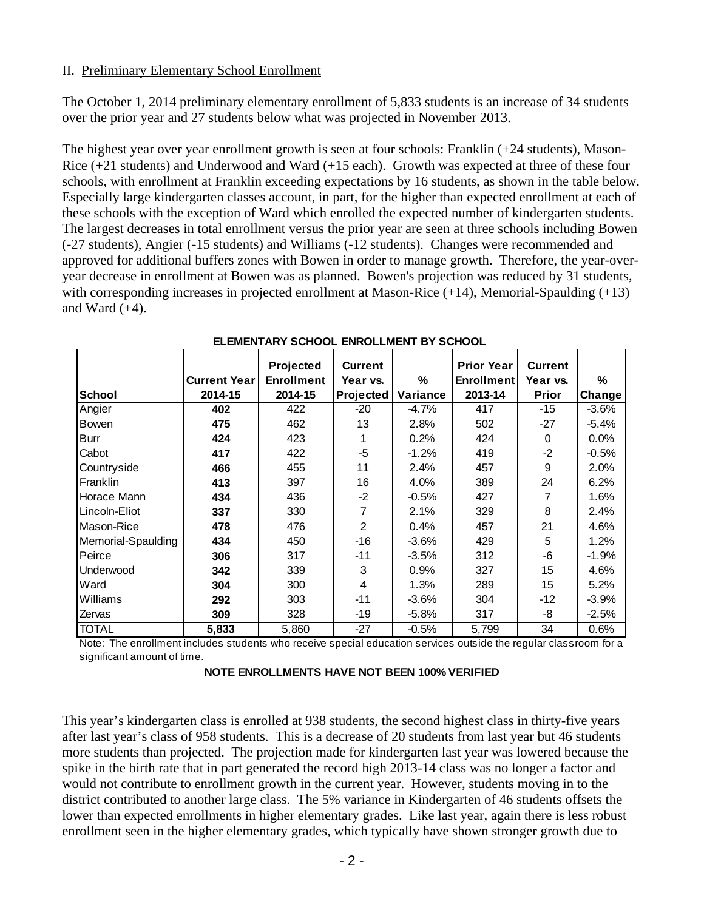## II. Preliminary Elementary School Enrollment

The October 1, 2014 preliminary elementary enrollment of 5,833 students is an increase of 34 students over the prior year and 27 students below what was projected in November 2013.

The highest year over year enrollment growth is seen at four schools: Franklin (+24 students), Mason-Rice (+21 students) and Underwood and Ward (+15 each). Growth was expected at three of these four schools, with enrollment at Franklin exceeding expectations by 16 students, as shown in the table below. Especially large kindergarten classes account, in part, for the higher than expected enrollment at each of these schools with the exception of Ward which enrolled the expected number of kindergarten students. The largest decreases in total enrollment versus the prior year are seen at three schools including Bowen (-27 students), Angier (-15 students) and Williams (-12 students). Changes were recommended and approved for additional buffers zones with Bowen in order to manage growth. Therefore, the year-overyear decrease in enrollment at Bowen was as planned. Bowen's projection was reduced by 31 students, with corresponding increases in projected enrollment at Mason-Rice (+14), Memorial-Spaulding (+13) and Ward  $(+4)$ .

|                    |                     | Projected         | <b>Current</b>   |          | <b>Prior Year</b> | <b>Current</b> |          |
|--------------------|---------------------|-------------------|------------------|----------|-------------------|----------------|----------|
|                    | <b>Current Year</b> | <b>Enrollment</b> | Year vs.         | %        | <b>Enrollment</b> | Year vs.       | %        |
| <b>School</b>      | 2014-15             | 2014-15           | <b>Projected</b> | Variance | 2013-14           | <b>Prior</b>   | Change   |
| Angier             | 402                 | 422               | $-20$            | -4.7%    | 417               | $-15$          | $-3.6%$  |
| <b>Bowen</b>       | 475                 | 462               | 13               | 2.8%     | 502               | $-27$          | $-5.4\%$ |
| <b>Burr</b>        | 424                 | 423               |                  | 0.2%     | 424               | 0              | $0.0\%$  |
| Cabot              | 417                 | 422               | -5               | $-1.2%$  | 419               | $-2$           | $-0.5%$  |
| Countryside        | 466                 | 455               | 11               | 2.4%     | 457               | 9              | 2.0%     |
| Franklin           | 413                 | 397               | 16               | 4.0%     | 389               | 24             | 6.2%     |
| <b>Horace Mann</b> | 434                 | 436               | $-2$             | $-0.5%$  | 427               | 7              | 1.6%     |
| Lincoln-Eliot      | 337                 | 330               | 7                | 2.1%     | 329               | 8              | 2.4%     |
| Mason-Rice         | 478                 | 476               | 2                | 0.4%     | 457               | 21             | 4.6%     |
| Memorial-Spaulding | 434                 | 450               | $-16$            | $-3.6%$  | 429               | 5              | 1.2%     |
| Peirce             | 306                 | 317               | $-11$            | $-3.5%$  | 312               | -6             | $-1.9%$  |
| Underwood          | 342                 | 339               | 3                | 0.9%     | 327               | 15             | 4.6%     |
| Ward               | 304                 | 300               | 4                | 1.3%     | 289               | 15             | 5.2%     |
| Williams           | 292                 | 303               | $-11$            | $-3.6%$  | 304               | -12            | $-3.9%$  |
| Zervas             | 309                 | 328               | -19              | $-5.8%$  | 317               | -8             | $-2.5%$  |
| <b>TOTAL</b>       | 5,833               | 5,860             | $-27$            | $-0.5%$  | 5,799             | 34             | 0.6%     |

#### **ELEMENTARY SCHOOL ENROLLMENT BY SCHOOL**

Note: The enrollment includes students who receive special education services outside the regular classroom for a significant amount of time.

This year's kindergarten class is enrolled at 938 students, the second highest class in thirty-five years after last year's class of 958 students. This is a decrease of 20 students from last year but 46 students more students than projected. The projection made for kindergarten last year was lowered because the spike in the birth rate that in part generated the record high 2013-14 class was no longer a factor and would not contribute to enrollment growth in the current year. However, students moving in to the district contributed to another large class. The 5% variance in Kindergarten of 46 students offsets the lower than expected enrollments in higher elementary grades. Like last year, again there is less robust enrollment seen in the higher elementary grades, which typically have shown stronger growth due to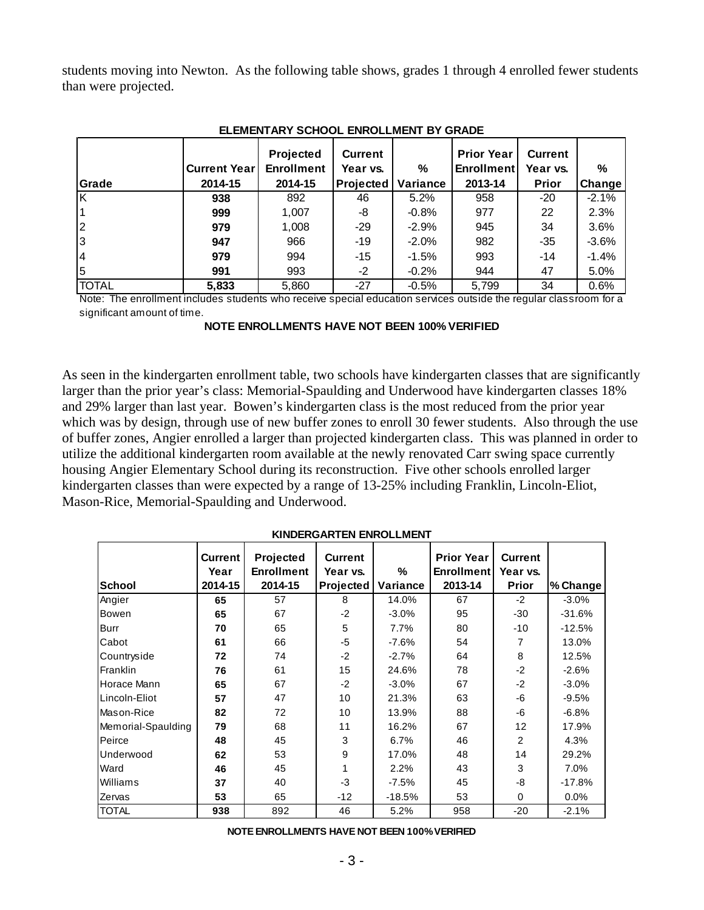students moving into Newton. As the following table shows, grades 1 through 4 enrolled fewer students than were projected.

|              |                     | Projected         | <b>Current</b>   |          | <b>Prior Year</b> | <b>Current</b> |                     |  |
|--------------|---------------------|-------------------|------------------|----------|-------------------|----------------|---------------------|--|
|              | <b>Current Year</b> | <b>Enrollment</b> | Year vs.         | ℅        | <b>Enrollment</b> | Year vs.       | %                   |  |
| Grade        | 2014-15             | 2014-15           | <b>Projected</b> | Variance | 2013-14           | <b>Prior</b>   | Change <sup>1</sup> |  |
| ΙK           | 938                 | 892               | 46               | 5.2%     | 958               | $-20$          | $-2.1%$             |  |
|              | 999                 | 1,007             | -8               | $-0.8%$  | 977               | 22             | 2.3%                |  |
| l2           | 979                 | 1,008             | $-29$            | $-2.9%$  | 945               | 34             | 3.6%                |  |
| l3           | 947                 | 966               | $-19$            | $-2.0\%$ | 982               | $-35$          | $-3.6%$             |  |
| 14           | 979                 | 994               | -15              | $-1.5%$  | 993               | $-14$          | $-1.4%$             |  |
| 5            | 991                 | 993               | $-2$             | $-0.2%$  | 944               | 47             | 5.0%                |  |
| <b>TOTAL</b> | 5,833               | 5,860             | $-27$            | $-0.5%$  | 5,799             | 34             | 0.6%                |  |

#### **ELEMENTARY SCHOOL ENROLLMENT BY GRADE**

Note: The enrollment includes students who receive special education services outside the regular classroom for a significant amount of time.

**NOTE ENROLLMENTS HAVE NOT BEEN 100% VERIFIED**

As seen in the kindergarten enrollment table, two schools have kindergarten classes that are significantly larger than the prior year's class: Memorial-Spaulding and Underwood have kindergarten classes 18% and 29% larger than last year. Bowen's kindergarten class is the most reduced from the prior year which was by design, through use of new buffer zones to enroll 30 fewer students. Also through the use of buffer zones, Angier enrolled a larger than projected kindergarten class. This was planned in order to utilize the additional kindergarten room available at the newly renovated Carr swing space currently housing Angier Elementary School during its reconstruction. Five other schools enrolled larger kindergarten classes than were expected by a range of 13-25% including Franklin, Lincoln-Eliot, Mason-Rice, Memorial-Spaulding and Underwood.

| <b>School</b>      | <b>Current</b><br>Year<br>2014-15 | Projected<br><b>Enrollment</b><br>2014-15 | <b>Current</b><br>Year vs.<br>Projected | $\%$<br>Variance | <b>Prior Year</b><br><b>Enrollment</b><br>2013-14 | <b>Current</b><br>Year vs.<br><b>Prior</b> | % Change |
|--------------------|-----------------------------------|-------------------------------------------|-----------------------------------------|------------------|---------------------------------------------------|--------------------------------------------|----------|
| Angier             | 65                                | 57                                        | 8                                       | 14.0%            | 67                                                | $-2$                                       | $-3.0\%$ |
| Bowen              | 65                                | 67                                        | $-2$                                    | $-3.0%$          | 95                                                | $-30$                                      | $-31.6%$ |
| Burr               | 70                                | 65                                        | 5                                       | 7.7%             | 80                                                | $-10$                                      | $-12.5%$ |
| Cabot              | 61                                | 66                                        | -5                                      | $-7.6%$          | 54                                                | 7                                          | 13.0%    |
| Countryside        | 72                                | 74                                        | $-2$                                    | $-2.7%$          | 64                                                | 8                                          | 12.5%    |
| <b>Franklin</b>    | 76                                | 61                                        | 15                                      | 24.6%            | 78                                                | $-2$                                       | $-2.6%$  |
| Horace Mann        | 65                                | 67                                        | $-2$                                    | $-3.0%$          | 67                                                | $-2$                                       | $-3.0%$  |
| Lincoln-Eliot      | 57                                | 47                                        | 10                                      | 21.3%            | 63                                                | -6                                         | $-9.5%$  |
| Mason-Rice         | 82                                | 72                                        | 10                                      | 13.9%            | 88                                                | -6                                         | $-6.8%$  |
| Memorial-Spaulding | 79                                | 68                                        | 11                                      | 16.2%            | 67                                                | 12                                         | 17.9%    |
| Peirce             | 48                                | 45                                        | 3                                       | 6.7%             | 46                                                | $\overline{2}$                             | 4.3%     |
| Underwood          | 62                                | 53                                        | 9                                       | 17.0%            | 48                                                | 14                                         | 29.2%    |
| Ward               | 46                                | 45                                        | 1                                       | 2.2%             | 43                                                | 3                                          | 7.0%     |
| Williams           | 37                                | 40                                        | $-3$                                    | $-7.5%$          | 45                                                | -8                                         | $-17.8%$ |
| Zervas             | 53                                | 65                                        | $-12$                                   | $-18.5%$         | 53                                                | 0                                          | 0.0%     |
| <b>TOTAL</b>       | 938                               | 892                                       | 46                                      | 5.2%             | 958                                               | $-20$                                      | $-2.1%$  |

#### **KINDERGARTEN ENROLLMENT**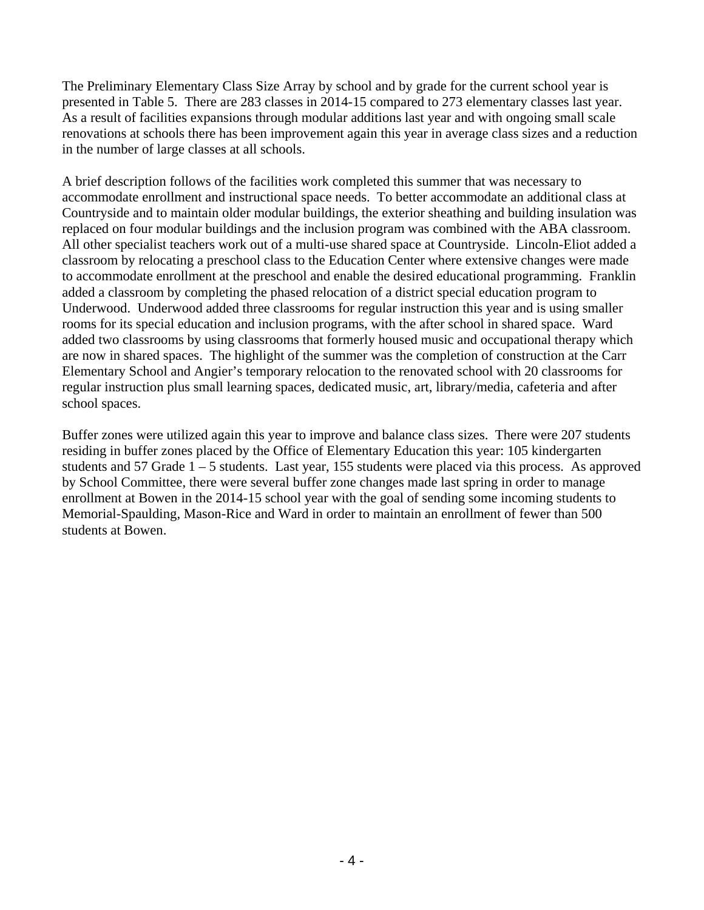The Preliminary Elementary Class Size Array by school and by grade for the current school year is presented in Table 5. There are 283 classes in 2014-15 compared to 273 elementary classes last year. As a result of facilities expansions through modular additions last year and with ongoing small scale renovations at schools there has been improvement again this year in average class sizes and a reduction in the number of large classes at all schools.

A brief description follows of the facilities work completed this summer that was necessary to accommodate enrollment and instructional space needs. To better accommodate an additional class at Countryside and to maintain older modular buildings, the exterior sheathing and building insulation was replaced on four modular buildings and the inclusion program was combined with the ABA classroom. All other specialist teachers work out of a multi-use shared space at Countryside. Lincoln-Eliot added a classroom by relocating a preschool class to the Education Center where extensive changes were made to accommodate enrollment at the preschool and enable the desired educational programming. Franklin added a classroom by completing the phased relocation of a district special education program to Underwood. Underwood added three classrooms for regular instruction this year and is using smaller rooms for its special education and inclusion programs, with the after school in shared space. Ward added two classrooms by using classrooms that formerly housed music and occupational therapy which are now in shared spaces. The highlight of the summer was the completion of construction at the Carr Elementary School and Angier's temporary relocation to the renovated school with 20 classrooms for regular instruction plus small learning spaces, dedicated music, art, library/media, cafeteria and after school spaces.

Buffer zones were utilized again this year to improve and balance class sizes. There were 207 students residing in buffer zones placed by the Office of Elementary Education this year: 105 kindergarten students and 57 Grade 1 – 5 students. Last year, 155 students were placed via this process. As approved by School Committee, there were several buffer zone changes made last spring in order to manage enrollment at Bowen in the 2014-15 school year with the goal of sending some incoming students to Memorial-Spaulding, Mason-Rice and Ward in order to maintain an enrollment of fewer than 500 students at Bowen.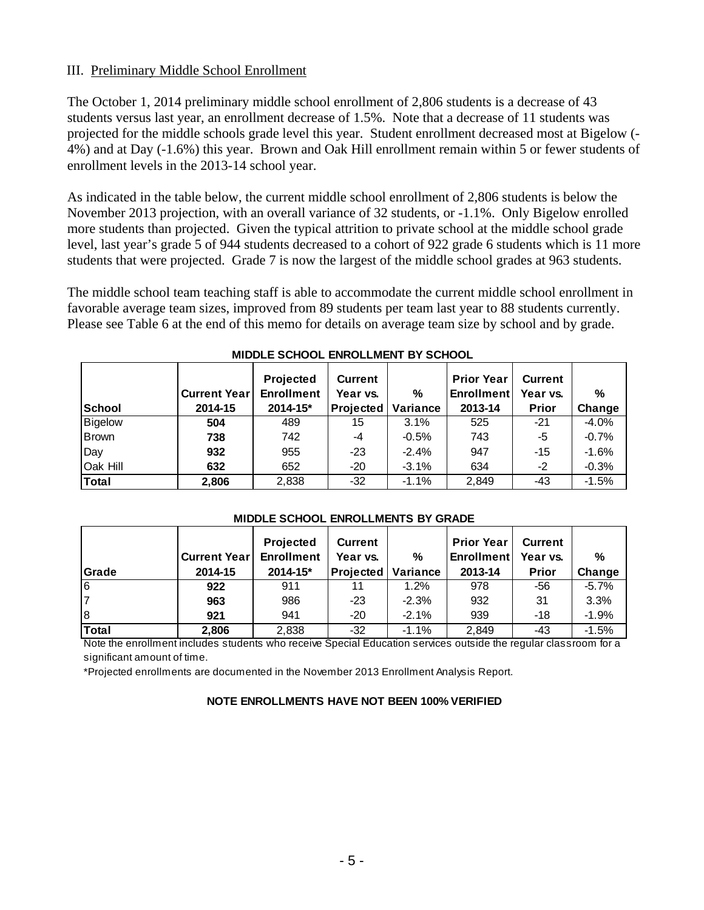## III. Preliminary Middle School Enrollment

The October 1, 2014 preliminary middle school enrollment of 2,806 students is a decrease of 43 students versus last year, an enrollment decrease of 1.5%. Note that a decrease of 11 students was projected for the middle schools grade level this year. Student enrollment decreased most at Bigelow (- 4%) and at Day (-1.6%) this year. Brown and Oak Hill enrollment remain within 5 or fewer students of enrollment levels in the 2013-14 school year.

As indicated in the table below, the current middle school enrollment of 2,806 students is below the November 2013 projection, with an overall variance of 32 students, or -1.1%. Only Bigelow enrolled more students than projected. Given the typical attrition to private school at the middle school grade level, last year's grade 5 of 944 students decreased to a cohort of 922 grade 6 students which is 11 more students that were projected. Grade 7 is now the largest of the middle school grades at 963 students.

The middle school team teaching staff is able to accommodate the current middle school enrollment in favorable average team sizes, improved from 89 students per team last year to 88 students currently. Please see Table 6 at the end of this memo for details on average team size by school and by grade.

|          | <b>Current Year</b> | Projected<br><b>Enrollment</b> | <b>Current</b><br>Year vs. | %        | <b>Prior Year</b><br>Enrollment | <b>Current</b><br>Year vs. | %       |
|----------|---------------------|--------------------------------|----------------------------|----------|---------------------------------|----------------------------|---------|
| School   | 2014-15             | 2014-15*                       | <b>Projected</b>           | Variance | 2013-14                         | <b>Prior</b>               | Change  |
| Bigelow  | 504                 | 489                            | 15                         | 3.1%     | 525                             | $-21$                      | $-4.0%$ |
| Brown    | 738                 | 742                            | $-4$                       | $-0.5%$  | 743                             | -5                         | $-0.7%$ |
| Day      | 932                 | 955                            | $-23$                      | $-2.4%$  | 947                             | -15                        | $-1.6%$ |
| Oak Hill | 632                 | 652                            | $-20$                      | $-3.1%$  | 634                             | $-2$                       | $-0.3%$ |
| Total    | 2,806               | 2,838                          | $-32$                      | $-1.1%$  | 2,849                           | -43                        | $-1.5%$ |

#### **MIDDLE SCHOOL ENROLLMENT BY SCHOOL**

| <b>Grade</b>   | Current Year<br>2014-15 | Projected<br><b>Enrollment</b><br>$2014 - 15*$ | <b>Current</b><br>Year vs.<br> Projected   Variance | %       | <b>Prior Year</b><br><b>Enrollment</b><br>2013-14 | <b>Current</b><br>Year vs.<br><b>Prior</b> | %<br>Change |
|----------------|-------------------------|------------------------------------------------|-----------------------------------------------------|---------|---------------------------------------------------|--------------------------------------------|-------------|
| $\overline{6}$ | 922                     | 911                                            | 11                                                  | 1.2%    | 978                                               | -56                                        | $-5.7%$     |
| l7             | 963                     | 986                                            | $-23$                                               | $-2.3%$ | 932                                               | 31                                         | 3.3%        |
| l8             | 921                     | 941                                            | $-20$                                               | $-2.1%$ | 939                                               | $-18$                                      | $-1.9%$     |
| Total          | 2,806                   | 2,838                                          | $-32$                                               | $-1.1%$ | 2,849                                             | -43                                        | $-1.5%$     |

#### **MIDDLE SCHOOL ENROLLMENTS BY GRADE**

Note the enrollment includes students who receive Special Education services outside the regular classroom for a significant amount of time.

\*Projected enrollments are documented in the November 2013 Enrollment Analysis Report.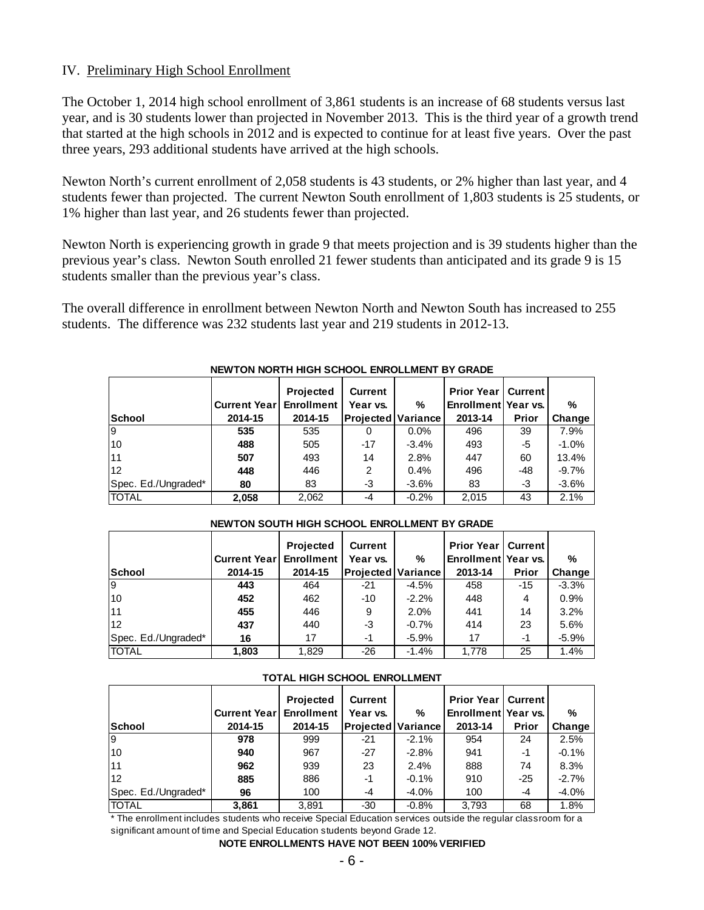## IV. Preliminary High School Enrollment

The October 1, 2014 high school enrollment of 3,861 students is an increase of 68 students versus last year, and is 30 students lower than projected in November 2013. This is the third year of a growth trend that started at the high schools in 2012 and is expected to continue for at least five years. Over the past three years, 293 additional students have arrived at the high schools.

Newton North's current enrollment of 2,058 students is 43 students, or 2% higher than last year, and 4 students fewer than projected. The current Newton South enrollment of 1,803 students is 25 students, or 1% higher than last year, and 26 students fewer than projected.

Newton North is experiencing growth in grade 9 that meets projection and is 39 students higher than the previous year's class. Newton South enrolled 21 fewer students than anticipated and its grade 9 is 15 students smaller than the previous year's class.

The overall difference in enrollment between Newton North and Newton South has increased to 255 students. The difference was 232 students last year and 219 students in 2012-13.

|                     |                     | <b>Projected</b>  | <b>Current</b>            |         | <b>Prior Year   Current  </b> |       |         |
|---------------------|---------------------|-------------------|---------------------------|---------|-------------------------------|-------|---------|
|                     | <b>Current Year</b> | <b>Enrollment</b> | Year vs.                  | %       | Enrollment Year vs.           |       | %       |
| <b>School</b>       | 2014-15             | 2014-15           | <b>Projected Variance</b> |         | 2013-14                       | Prior | Change  |
| 19                  | 535                 | 535               |                           | $0.0\%$ | 496                           | 39    | 7.9%    |
| 10                  | 488                 | 505               | -17                       | $-3.4%$ | 493                           | -5    | $-1.0%$ |
| <b>11</b>           | 507                 | 493               | 14                        | 2.8%    | 447                           | 60    | 13.4%   |
| 12                  | 448                 | 446               | 2                         | 0.4%    | 496                           | -48   | $-9.7%$ |
| Spec. Ed./Ungraded* | 80                  | 83                | -3                        | $-3.6%$ | 83                            | -3    | $-3.6%$ |
| <b>TOTAL</b>        | 2.058               | 2,062             | -4                        | $-0.2%$ | 2.015                         | 43    | 2.1%    |

#### **NEWTON NORTH HIGH SCHOOL ENROLLMENT BY GRADE**

|                     |                     | <b>Projected</b>  | <b>Current</b>       |         | <b>Prior Year   Current  </b> |       |         |
|---------------------|---------------------|-------------------|----------------------|---------|-------------------------------|-------|---------|
|                     | <b>Current Year</b> | <b>Enrollment</b> | Year vs.             | %       | Enrollment Year vs.           |       | %       |
| <b>School</b>       | 2014-15             | 2014-15           | Projected   Variance |         | 2013-14                       | Prior | Change  |
| 19                  | 443                 | 464               | -21                  | $-4.5%$ | 458                           | $-15$ | $-3.3%$ |
| 10                  | 452                 | 462               | $-10$                | $-2.2%$ | 448                           | 4     | 0.9%    |
| l 11                | 455                 | 446               | 9                    | 2.0%    | 441                           | 14    | 3.2%    |
| 12                  | 437                 | 440               | -3                   | $-0.7%$ | 414                           | 23    | 5.6%    |
| Spec. Ed./Ungraded* | 16                  | 17                | -1                   | $-5.9%$ | 17                            | -1    | $-5.9%$ |
| <b>ITOTAL</b>       | 1,803               | 1,829             | $-26$                | $-1.4%$ | 1.778                         | 25    | 1.4%    |

#### **NEWTON SOUTH HIGH SCHOOL ENROLLMENT BY GRADE**

| TOTAL HIGH SCHOOL ENROLLMENT |                                                                                                                                                        |         |                           |          |         |       |         |  |  |
|------------------------------|--------------------------------------------------------------------------------------------------------------------------------------------------------|---------|---------------------------|----------|---------|-------|---------|--|--|
|                              | <b>Projected</b><br><b>Prior Year</b><br>l Current l<br><b>Current</b><br>Enrollment  <br>%<br>Enrollment Year vs.<br><b>Current Yearl</b><br>Year vs. |         |                           |          |         |       | %       |  |  |
| <b>School</b>                | 2014-15                                                                                                                                                | 2014-15 | <b>Projected Variance</b> |          | 2013-14 | Prior | Change  |  |  |
| 19                           | 978                                                                                                                                                    | 999     | -21                       | $-2.1%$  | 954     | 24    | 2.5%    |  |  |
| 10                           | 940                                                                                                                                                    | 967     | $-27$                     | $-2.8%$  | 941     | -1    | $-0.1%$ |  |  |
| 11                           | 962                                                                                                                                                    | 939     | 23                        | 2.4%     | 888     | 74    | 8.3%    |  |  |
| 112                          | 885                                                                                                                                                    | 886     | -1                        | $-0.1%$  | 910     | $-25$ | $-2.7%$ |  |  |
| Spec. Ed./Ungraded*          | 96                                                                                                                                                     | 100     | -4                        | $-4.0\%$ | 100     | -4    | $-4.0%$ |  |  |
| <b>TOTAL</b>                 | 3,861                                                                                                                                                  | 3,891   | -30                       | $-0.8%$  | 3,793   | 68    | 1.8%    |  |  |

\* The enrollment includes students who receive Special Education services outside the regular classroom for a significant amount of time and Special Education students beyond Grade 12.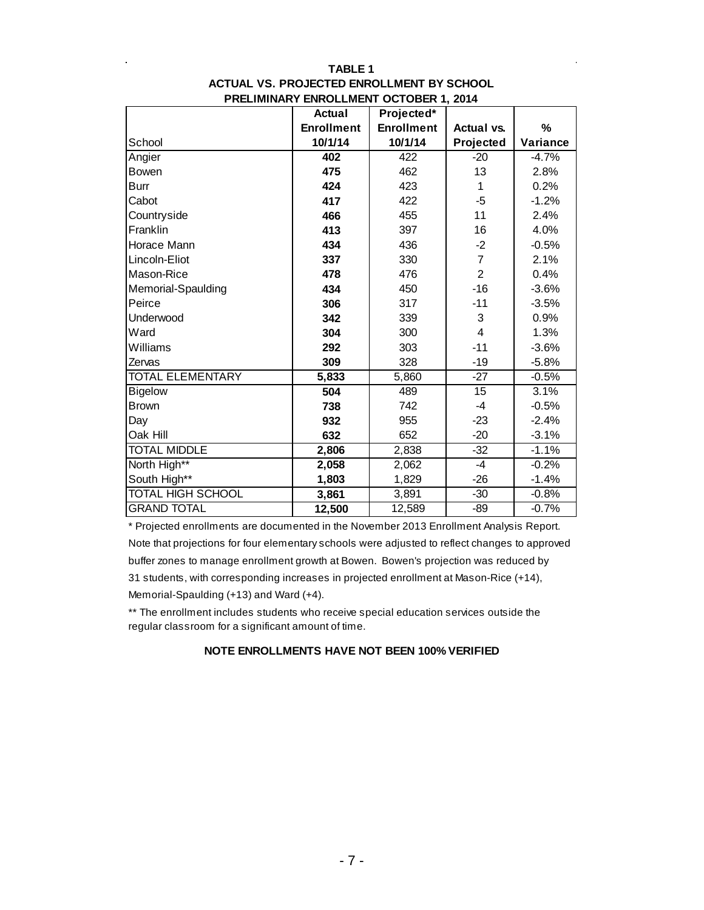|                          | <b>Actual</b>     | Projected*        |                   |          |
|--------------------------|-------------------|-------------------|-------------------|----------|
|                          | <b>Enrollment</b> | <b>Enrollment</b> | <b>Actual vs.</b> | %        |
| School                   | 10/1/14           | 10/1/14           | Projected         | Variance |
| Angier                   | 402               | 422               | $-20$             | $-4.7%$  |
| Bowen                    | 475               | 462               | 13                | 2.8%     |
| <b>Burr</b>              | 424               | 423               | 1                 | 0.2%     |
| Cabot                    | 417               | 422               | -5                | $-1.2%$  |
| Countryside              | 466               | 455               | 11                | 2.4%     |
| Franklin                 | 413               | 397               | 16                | 4.0%     |
| Horace Mann              | 434               | 436               | $-2$              | $-0.5%$  |
| Lincoln-Eliot            | 337               | 330               | $\overline{7}$    | 2.1%     |
| Mason-Rice               | 478               | 476               | $\overline{2}$    | 0.4%     |
| Memorial-Spaulding       | 434               | 450               | $-16$             | $-3.6%$  |
| Peirce                   | 306               | 317               | $-11$             | $-3.5%$  |
| Underwood                | 342               | 339               | 3                 | 0.9%     |
| Ward                     | 304               | 300               | 4                 | 1.3%     |
| Williams                 | 292               | 303               | $-11$             | $-3.6%$  |
| Zervas                   | 309               | 328               | $-19$             | $-5.8%$  |
| <b>TOTAL ELEMENTARY</b>  | 5,833             | 5,860             | $-27$             | $-0.5%$  |
| <b>Bigelow</b>           | 504               | 489               | 15                | 3.1%     |
| <b>Brown</b>             | 738               | 742               | $-4$              | $-0.5%$  |
| Day                      | 932               | 955               | $-23$             | $-2.4%$  |
| Oak Hill                 | 632               | 652               | $-20$             | $-3.1%$  |
| <b>TOTAL MIDDLE</b>      | 2,806             | 2,838             | $-32$             | $-1.1%$  |
| North High**             | 2,058             | 2,062             | $-4$              | $-0.2%$  |
| South High**             | 1,803             | 1,829             | $-26$             | $-1.4%$  |
| <b>TOTAL HIGH SCHOOL</b> | 3,861             | 3,891             | $-30$             | $-0.8%$  |
| <b>GRAND TOTAL</b>       | 12,500            | 12,589            | -89               | $-0.7%$  |

#### **TABLE 1 PRELIMINARY ENROLLMENT OCTOBER 1, 2014 ACTUAL VS. PROJECTED ENROLLMENT BY SCHOOL**

\* Projected enrollments are documented in the November 2013 Enrollment Analysis Report. Note that projections for four elementary schools were adjusted to reflect changes to approved buffer zones to manage enrollment growth at Bowen. Bowen's projection was reduced by 31 students, with corresponding increases in projected enrollment at Mason-Rice (+14), Memorial-Spaulding (+13) and Ward (+4).

\*\* The enrollment includes students who receive special education services outside the regular classroom for a significant amount of time.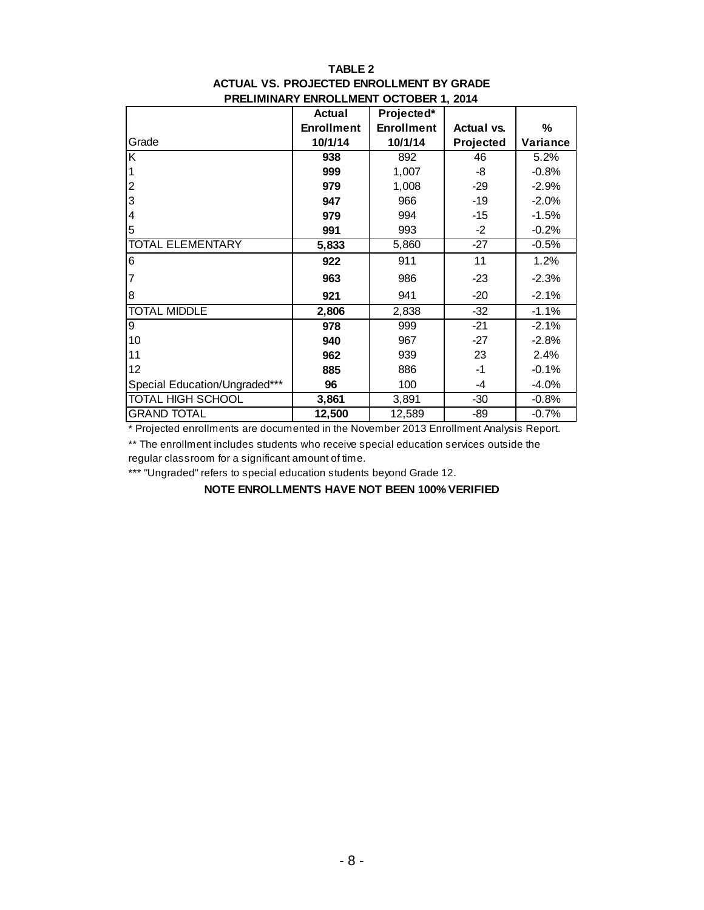#### **TABLE 2 PRELIMINARY ENROLLMENT OCTOBER 1, 2014 ACTUAL VS. PROJECTED ENROLLMENT BY GRADE**

|                               | <b>Actual</b>     | Projected*        |                   |          |
|-------------------------------|-------------------|-------------------|-------------------|----------|
|                               | <b>Enrollment</b> | <b>Enrollment</b> | <b>Actual vs.</b> | %        |
| Grade                         | 10/1/14           | 10/1/14           | Projected         | Variance |
| K                             | 938               | 892               | 46                | 5.2%     |
|                               | 999               | 1,007             | -8                | $-0.8%$  |
| $\overline{c}$                | 979               | 1,008             | -29               | $-2.9%$  |
| 3                             | 947               | 966               | $-19$             | $-2.0%$  |
| 4                             | 979               | 994               | -15               | $-1.5%$  |
| 5                             | 991               | 993               | $-2$              | $-0.2%$  |
| <b>TOTAL ELEMENTARY</b>       | 5,833             | 5,860             | $-27$             | $-0.5%$  |
| 6                             | 922               | 911               | 11                | 1.2%     |
| 7                             | 963               | 986               | $-23$             | $-2.3%$  |
| 8                             | 921               | 941               | $-20$             | $-2.1%$  |
| <b>TOTAL MIDDLE</b>           | 2,806             | 2,838             | $-32$             | $-1.1%$  |
| 9                             | 978               | 999               | $-21$             | $-2.1%$  |
| 10                            | 940               | 967               | $-27$             | $-2.8%$  |
| 11                            | 962               | 939               | 23                | 2.4%     |
| 12                            | 885               | 886               | $-1$              | $-0.1%$  |
| Special Education/Ungraded*** | 96                | 100               | -4                | $-4.0%$  |
| TOTAL HIGH SCHOOL             | 3,861             | 3,891             | $-30$             | $-0.8%$  |
| <b>GRAND TOTAL</b>            | 12,500            | 12,589            | $-89$             | $-0.7%$  |

\* Projected enrollments are documented in the November 2013 Enrollment Analysis Report.

\*\* The enrollment includes students who receive special education services outside the regular classroom for a significant amount of time.

\*\*\* "Ungraded" refers to special education students beyond Grade 12.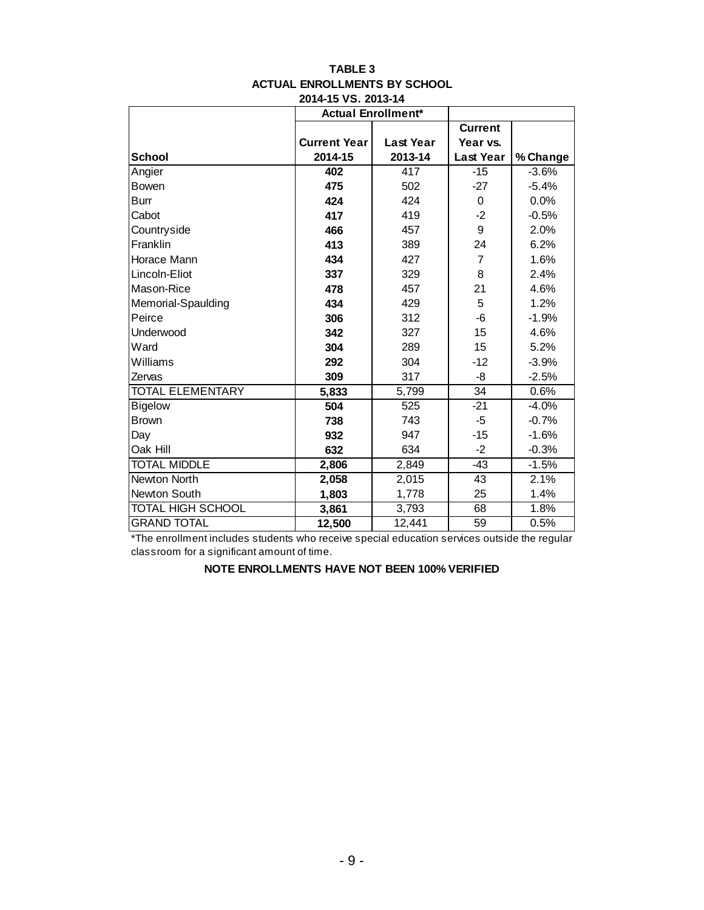|                          |                     | <b>Actual Enrollment*</b> |                  |          |
|--------------------------|---------------------|---------------------------|------------------|----------|
|                          |                     |                           | <b>Current</b>   |          |
|                          | <b>Current Year</b> | <b>Last Year</b>          | Year vs.         |          |
| <b>School</b>            | 2014-15             | 2013-14                   | <b>Last Year</b> | % Change |
| Angier                   | 402                 | 417                       | $-15$            | $-3.6%$  |
| <b>Bowen</b>             | 475                 | 502                       | $-27$            | $-5.4%$  |
| <b>Burr</b>              | 424                 | 424                       | $\mathbf 0$      | 0.0%     |
| Cabot                    | 417                 | 419                       | $-2$             | $-0.5%$  |
| Countryside              | 466                 | 457                       | 9                | 2.0%     |
| Franklin                 | 413                 | 389                       | 24               | 6.2%     |
| Horace Mann              | 434                 | 427                       | $\overline{7}$   | 1.6%     |
| Lincoln-Eliot            | 337                 | 329                       | 8                | 2.4%     |
| Mason-Rice               | 478                 | 457                       | 21               | 4.6%     |
| Memorial-Spaulding       | 434                 | 429                       | 5                | 1.2%     |
| Peirce                   | 306                 | 312                       | -6               | $-1.9%$  |
| Underwood                | 342                 | 327                       | 15               | 4.6%     |
| Ward                     | 304                 | 289                       | 15               | 5.2%     |
| Williams                 | 292                 | 304                       | $-12$            | $-3.9%$  |
| Zervas                   | 309                 | 317                       | -8               | $-2.5%$  |
| <b>TOTAL ELEMENTARY</b>  | 5,833               | 5,799                     | $\overline{34}$  | 0.6%     |
| <b>Bigelow</b>           | 504                 | 525                       | $-21$            | $-4.0%$  |
| <b>Brown</b>             | 738                 | 743                       | -5               | $-0.7%$  |
| Day                      | 932                 | 947                       | $-15$            | $-1.6%$  |
| Oak Hill                 | 632                 | 634                       | $-2$             | $-0.3%$  |
| <b>TOTAL MIDDLE</b>      | 2,806               | 2,849                     | $-43$            | $-1.5%$  |
| <b>Newton North</b>      | 2,058               | 2,015                     | 43               | 2.1%     |
| Newton South             | 1,803               | 1,778                     | 25               | 1.4%     |
| <b>TOTAL HIGH SCHOOL</b> | 3,861               | 3,793                     | 68               | 1.8%     |
| <b>GRAND TOTAL</b>       | 12,500              | 12,441                    | 59               | 0.5%     |

#### **TABLE 3 ACTUAL ENROLLMENTS BY SCHOOL 2014-15 VS. 2013-14**

\*The enrollment includes students who receive special education services outside the regular classroom for a significant amount of time.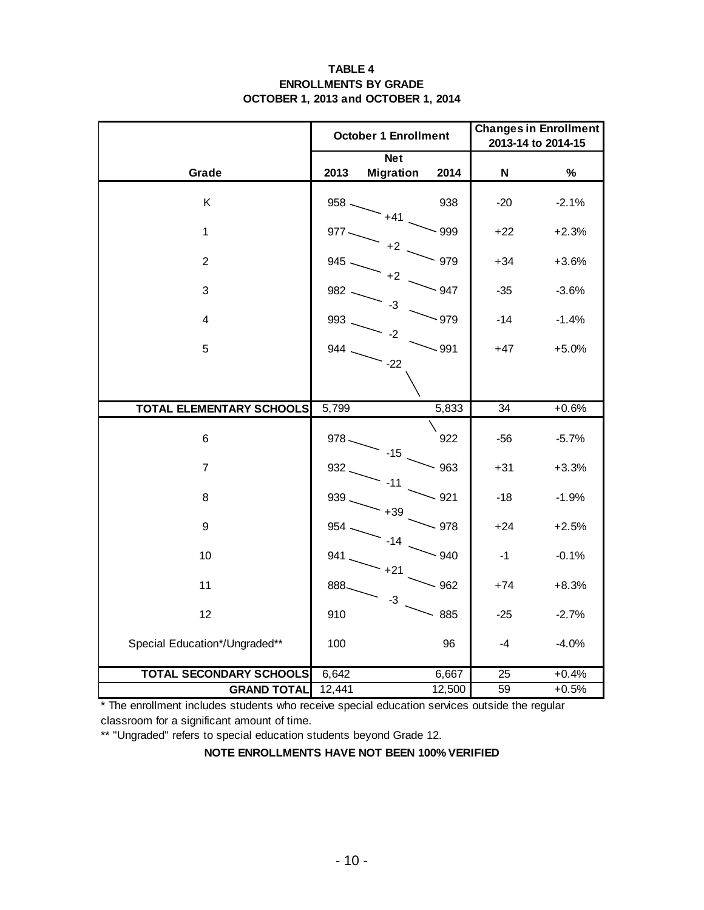#### **TABLE 4 ENROLLMENTS BY GRADE OCTOBER 1, 2013 and OCTOBER 1, 2014**

|                                 |         | <b>October 1 Enrollment</b> | <b>Changes in Enrollment</b><br>2013-14 to 2014-15 |                           |         |
|---------------------------------|---------|-----------------------------|----------------------------------------------------|---------------------------|---------|
|                                 |         | <b>Net</b>                  |                                                    |                           |         |
| Grade                           | 2013    | <b>Migration</b>            | 2014                                               | $\boldsymbol{\mathsf{N}}$ | $\%$    |
| Κ                               | $958 -$ | $+41$                       | 938                                                | $-20$                     | $-2.1%$ |
| $\mathbf{1}$                    | $977 -$ | $+2$                        | $-999$                                             | $+22$                     | $+2.3%$ |
| $\overline{2}$                  | 945     | $+2$                        | 979                                                | $+34$                     | $+3.6%$ |
| 3                               | 982     |                             | 947                                                | $-35$                     | $-3.6%$ |
| $\overline{\mathbf{4}}$         | 993     | -3                          | $-979$                                             | $-14$                     | $-1.4%$ |
| 5                               | 944     | -2                          | $-991$                                             | $+47$                     | $+5.0%$ |
|                                 |         | $-22$                       |                                                    |                           |         |
| <b>TOTAL ELEMENTARY SCHOOLS</b> | 5,799   |                             | 5,833                                              | 34                        | $+0.6%$ |
| 6                               | $978 -$ | $-15$                       | 922                                                | -56                       | $-5.7%$ |
| $\overline{7}$                  | 932     | $-11$                       | 963                                                | $+31$                     | $+3.3%$ |
| 8                               | 939.    | $+39$                       | $-921$                                             | $-18$                     | $-1.9%$ |
| $\boldsymbol{9}$                | 954.    | $-14$                       | $-978$                                             | $+24$                     | $+2.5%$ |
| 10                              | 941.    | $+21$                       | $-940$                                             | $-1$                      | $-0.1%$ |
| 11                              | 888.    | $-3$                        | $-962$                                             | $+74$                     | $+8.3%$ |
| 12                              | 910     |                             | 885                                                | $-25$                     | $-2.7%$ |
| Special Education*/Ungraded**   | 100     |                             | 96                                                 | $-4$                      | $-4.0%$ |
| <b>TOTAL SECONDARY SCHOOLS</b>  | 6,642   |                             | 6,667                                              | $\overline{25}$           | $+0.4%$ |
| <b>GRAND TOTAL</b>              | 12,441  |                             | 12,500                                             | 59                        | $+0.5%$ |

\* The enrollment includes students who receive special education services outside the regular classroom for a significant amount of time.

\*\* "Ungraded" refers to special education students beyond Grade 12.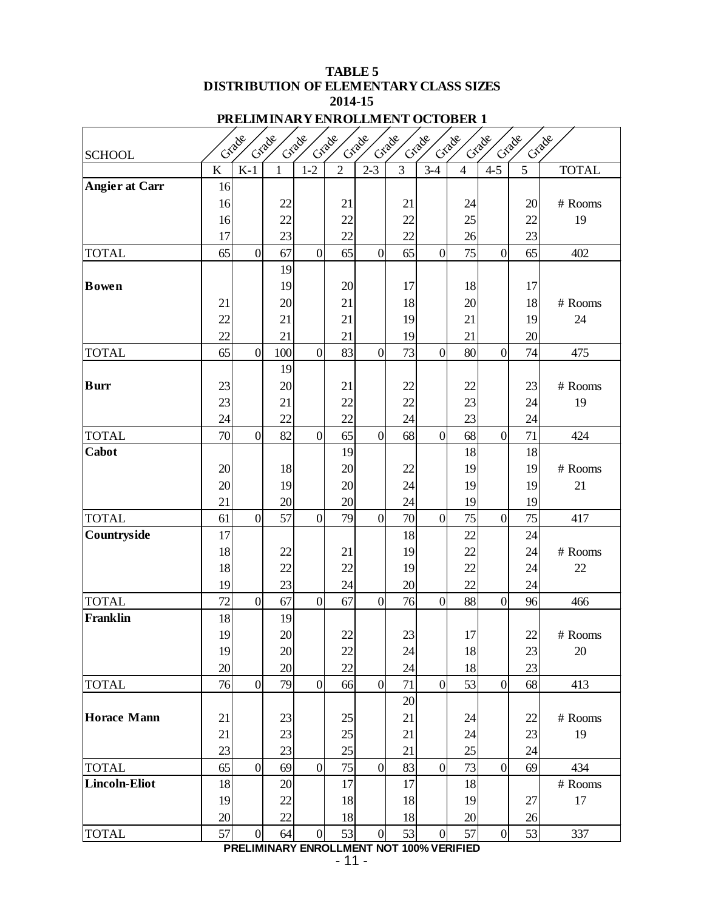## **TABLE 5 DISTRIBUTION OF ELEMENTARY CLASS SIZES 2014-15**

|  |  |  | PRELIMINARY ENROLLMENT OCTOBER 1 |  |
|--|--|--|----------------------------------|--|
|  |  |  |                                  |  |

|                       |                | Grade          | Grade<br>Crade |                | Crade          | Grade<br>Grade  |                | Grade            | Grade          | Grade          | Grade<br>Grade |              |
|-----------------------|----------------|----------------|----------------|----------------|----------------|-----------------|----------------|------------------|----------------|----------------|----------------|--------------|
| <b>SCHOOL</b>         |                |                |                |                |                |                 |                |                  |                |                |                |              |
|                       | $\overline{K}$ | $K-1$          | $\mathbf{1}$   | $1 - 2$        | $\overline{2}$ | $2 - 3$         | $\overline{3}$ | $3-4$            | $\overline{4}$ | $4 - 5$        | $\overline{5}$ | <b>TOTAL</b> |
| <b>Angier at Carr</b> | 16             |                |                |                |                |                 |                |                  |                |                |                |              |
|                       | 16             |                | 22             |                | 21             |                 | 21             |                  | 24             |                | 20             | # Rooms      |
|                       | 16             |                | 22             |                | 22             |                 | 22             |                  | 25             |                | 22             | 19           |
|                       | 17<br>65       | $\overline{0}$ | 23             | $\overline{0}$ | 22<br>65       |                 | 22<br>65       | $\overline{0}$   | 26<br>75       | $\overline{0}$ | 23             | 402          |
| <b>TOTAL</b>          |                |                | 67<br>19       |                |                | $\vert 0 \vert$ |                |                  |                |                | 65             |              |
| <b>Bowen</b>          |                |                | 19             |                | 20             |                 | 17             |                  | 18             |                | 17             |              |
|                       | 21             |                | 20             |                | 21             |                 | 18             |                  | 20             |                | 18             | # Rooms      |
|                       | 22             |                | 21             |                | 21             |                 | 19             |                  | 21             |                | 19             | 24           |
|                       | 22             |                | 21             |                | 21             |                 | 19             |                  | 21             |                | 20             |              |
| <b>TOTAL</b>          | 65             | $\overline{0}$ | 100            | $\overline{0}$ | 83             | $\overline{0}$  | 73             | $\overline{0}$   | 80             | $\mathbf{0}$   | 74             | 475          |
|                       |                |                | 19             |                |                |                 |                |                  |                |                |                |              |
| <b>Burr</b>           | 23             |                | 20             |                | 21             |                 | 22             |                  | 22             |                | 23             | # Rooms      |
|                       | 23             |                | 21             |                | 22             |                 | 22             |                  | 23             |                | 24             | 19           |
|                       | 24             |                | 22             |                | 22             |                 | 24             |                  | 23             |                | 24             |              |
| <b>TOTAL</b>          | 70             | $\overline{0}$ | 82             | $\overline{0}$ | 65             | $\overline{0}$  | 68             | $\overline{0}$   | 68             | $\overline{0}$ | 71             | 424          |
| Cabot                 |                |                |                |                | 19             |                 |                |                  | 18             |                | 18             |              |
|                       | 20             |                | 18             |                | 20             |                 | 22             |                  | 19             |                | 19             | # Rooms      |
|                       | 20             |                | 19             |                | 20             |                 | 24             |                  | 19             |                | 19             | 21           |
|                       | 21             |                | 20             |                | 20             |                 | 24             |                  | 19             |                | 19             |              |
| <b>TOTAL</b>          | 61             | $\overline{0}$ | 57             | $\overline{0}$ | 79             | $\overline{0}$  | 70             | $\overline{0}$   | 75             | $\overline{0}$ | 75             | 417          |
| Countryside           | 17             |                |                |                |                |                 | 18             |                  | 22             |                | 24             |              |
|                       | 18             |                | 22             |                | 21             |                 | 19             |                  | 22             |                | 24             | # Rooms      |
|                       | 18             |                | 22             |                | 22             |                 | 19             |                  | 22             |                | 24             | 22           |
|                       | 19             |                | 23             |                | 24             |                 | 20             |                  | 22             |                | 24             |              |
| <b>TOTAL</b>          | 72             | $\overline{0}$ | 67             | $\overline{0}$ | 67             | $\overline{0}$  | 76             | $\overline{0}$   | 88             | $\mathbf{0}$   | 96             | 466          |
| <b>Franklin</b>       | 18             |                | 19             |                |                |                 |                |                  |                |                |                |              |
|                       | 19             |                | 20             |                | 22             |                 | 23             |                  | 17             |                | 22             | # Rooms      |
|                       | 19             |                | 20             |                | 22             |                 | 24             |                  | 18             |                | 23             | 20           |
|                       | 20             |                | 20             |                | 22             |                 | 24             |                  | 18             |                | 23             |              |
| <b>TOTAL</b>          | 76             | $\overline{0}$ | 79             | $\overline{0}$ | 66             | $\overline{0}$  | 71             | $\overline{0}$   | 53             | $\overline{0}$ | 68             | 413          |
|                       |                |                |                |                |                |                 | 20             |                  |                |                |                |              |
| <b>Horace Mann</b>    | 21             |                | 23             |                | 25             |                 | 21             |                  | 24             |                | 22             | # Rooms      |
|                       | 21             |                | 23             |                | 25             |                 | 21             |                  | 24             |                | 23             | 19           |
|                       | 23             |                | 23             |                | 25             |                 | 21             |                  | $25\,$         |                | 24             |              |
| <b>TOTAL</b>          | 65             | $\overline{0}$ | 69             | $\overline{0}$ | 75             | $\overline{0}$  | 83             | $\overline{0}$   | 73             | $\overline{0}$ | 69             | 434          |
| <b>Lincoln-Eliot</b>  | 18             |                | 20             |                | 17             |                 | 17             |                  | 18             |                |                | # Rooms      |
|                       | 19             |                | 22             |                | 18             |                 | 18             |                  | 19             |                | 27             | 17           |
|                       | 20             |                | 22             |                | 18             |                 | 18             |                  | 20             |                | 26             |              |
| <b>TOTAL</b>          | 57             | $\overline{0}$ | 64             | $\overline{0}$ | 53             | $\vert 0 \vert$ | 53             | $\boldsymbol{0}$ | 57             | $\mathbf{0}$   | 53             | 337          |

## **PRELIMINARY ENROLLMENT NOT 100% VERIFIED**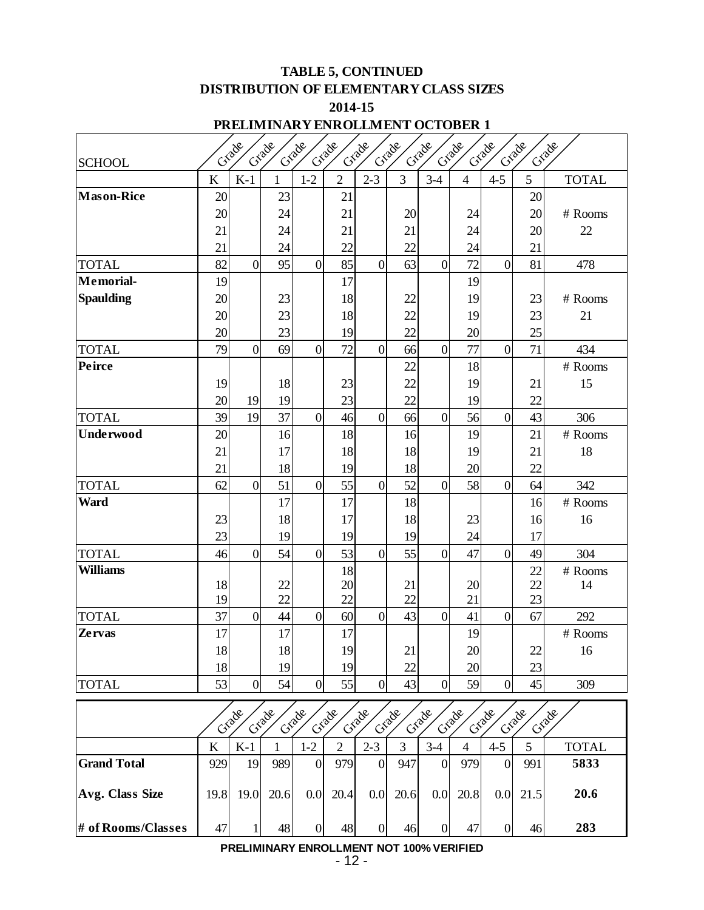## **TABLE 5, CONTINUED DISTRIBUTION OF ELEMENTARY CLASS SIZES 2014-15**

## **PRELIMINARY ENROLLMENT OCTOBER 1**

|                   |         | Grade            | Crade        | Grade          | Grade          | Grade          | Crade | Grade          | Grade          | Grade          | Grade           | Criade       |
|-------------------|---------|------------------|--------------|----------------|----------------|----------------|-------|----------------|----------------|----------------|-----------------|--------------|
| <b>SCHOOL</b>     |         |                  |              |                |                |                |       |                |                |                |                 |              |
|                   | K       | $K-1$            | $\mathbf{1}$ | $1-2$          | $\overline{2}$ | $2 - 3$        | 3     | $3-4$          | $\overline{4}$ | $4 - 5$        | 5               | <b>TOTAL</b> |
| <b>Mason-Rice</b> | 20      |                  | 23           |                | 21             |                |       |                |                |                | 20              |              |
|                   | 20      |                  | 24           |                | 21             |                | 20    |                | 24             |                | 20              | # Rooms      |
|                   | 21      |                  | 24           |                | 21             |                | 21    |                | 24             |                | 20              | 22           |
|                   | 21      |                  | 24           |                | 22             |                | 22    |                | 24             |                | 21              |              |
| <b>TOTAL</b>      | 82      | $\mathbf{0}$     | 95           | $\overline{0}$ | 85             | $\overline{0}$ | 63    | $\overline{0}$ | 72             | $\overline{0}$ | 81              | 478          |
| Memorial-         | 19      |                  |              |                | 17             |                |       |                | 19             |                |                 |              |
| <b>Spaulding</b>  | 20      |                  | 23           |                | 18             |                | 22    |                | 19             |                | 23              | # Rooms      |
|                   | 20      |                  | 23           |                | 18             |                | 22    |                | 19             |                | 23              | 21           |
|                   | 20      |                  | 23           |                | 19             |                | 22    |                | 20             |                | 25              |              |
| <b>TOTAL</b>      | 79      | $\overline{0}$   | 69           | $\overline{0}$ | 72             | $\overline{0}$ | 66    | $\overline{0}$ | 77             | $\overline{0}$ | 71              | 434          |
| Peirce            |         |                  |              |                |                |                | 22    |                | 18             |                |                 | # Rooms      |
|                   | 19      |                  | 18           |                | 23             |                | 22    |                | 19             |                | 21              | 15           |
|                   | 20      | 19               | 19           |                | 23             |                | 22    |                | 19             |                | 22              |              |
| <b>TOTAL</b>      | 39      | 19               | 37           | $\overline{0}$ | 46             | $\overline{0}$ | 66    | $\overline{0}$ | 56             | $\overline{0}$ | 43              | 306          |
| <b>Underwood</b>  | 20      |                  | 16           |                | 18             |                | 16    |                | 19             |                | 21              | # Rooms      |
|                   | 21      |                  | 17           |                | 18             |                | 18    |                | 19             |                | 21              | 18           |
|                   | 21      |                  | 18           |                | 19             |                | 18    |                | 20             |                | 22              |              |
| <b>TOTAL</b>      | 62      | $\mathbf{0}$     | 51           | $\overline{0}$ | 55             | $\overline{0}$ | 52    | $\overline{0}$ | 58             | $\overline{0}$ | 64              | 342          |
| Ward              |         |                  | 17           |                | 17             |                | 18    |                |                |                | 16              | # Rooms      |
|                   | 23      |                  | 18           |                | 17             |                | 18    |                | 23             |                | 16              | 16           |
|                   | 23      |                  | 19           |                | 19             |                | 19    |                | 24             |                | 17              |              |
| <b>TOTAL</b>      | 46      | $\overline{0}$   | 54           | $\overline{0}$ | 53             | $\overline{0}$ | 55    | $\overline{0}$ | 47             | $\overline{0}$ | 49              | 304          |
| <b>Williams</b>   |         |                  |              |                | 18             |                |       |                |                |                | 22              | # Rooms      |
|                   | 18      |                  | 22           |                | 20             |                | 21    |                | 20             |                | 22              | 14           |
|                   | 19      |                  | 22           |                | 22             |                | 22    |                | 21             |                | 23              |              |
| <b>TOTAL</b>      | 37      | $\mathbf{0}$     | 44           | $\overline{0}$ | 60             | $\overline{0}$ | 43    | $\overline{0}$ | 41             | $\overline{0}$ | 67              | 292          |
| <b>Zervas</b>     | 17      |                  | 17           |                | 17             |                |       |                | 19             |                |                 | # Rooms      |
|                   | 18      |                  | 18           |                | 19             |                | 21    |                | 20             |                | 22              | 16           |
|                   | 18      |                  | 19           |                | 19             |                | 22    |                | 20             |                | 23              |              |
| <b>TOTAL</b>      | 53      | $\boldsymbol{0}$ | 54           | $\overline{0}$ | 55             | $\overline{0}$ | 43    | $\overline{0}$ | 59             | $\overline{0}$ | 45              | 309          |
|                   |         |                  | Crade        |                |                |                |       | Grade          |                |                | Crade           |              |
|                   |         | Grade            |              | Grade          | Grade          | Grade          | Grade |                | Grade          | Grade          |                 | Criade       |
|                   | $\bf K$ | $K-1$            |              | $1-2$          | $\overline{2}$ | $2 - 3$        | 3     | $3 - 4$        | $\overline{4}$ | $4 - 5$        | 5               | <b>TOTAL</b> |
| $C$ rand $Total$  | 020     | $\overline{10}$  | 080          | $\Omega$       | 070            | $\Omega$       | 047   | $\cap$         | 070            | $\cap$         | 0 <sub>01</sub> | 5833         |

|                    | K    | $K-1$ |      | 1-2            | ∍    | 2-3      |      | $3-4$          |      | $4 - 5$ |      | TOTAL |
|--------------------|------|-------|------|----------------|------|----------|------|----------------|------|---------|------|-------|
| <b>Grand Total</b> | 929  | 19    | 989  | $\overline{0}$ | 979  | $\Omega$ | 947  | $\overline{0}$ | 979  |         | 991  | 5833  |
| Avg. Class Size    | 19.8 | 19.0  | 20.6 | 0.0            | 20.4 | 0.0      | 20.6 | 0.0            | 20.8 | 0.0     | 21.5 | 20.6  |
| # of Rooms/Classes | 47   |       | 48   | N              | 48   |          | 46   | $\overline{0}$ | 47   |         | 46   | 283   |

#### **PRELIMINARY ENROLLMENT NOT 100% VERIFIED**